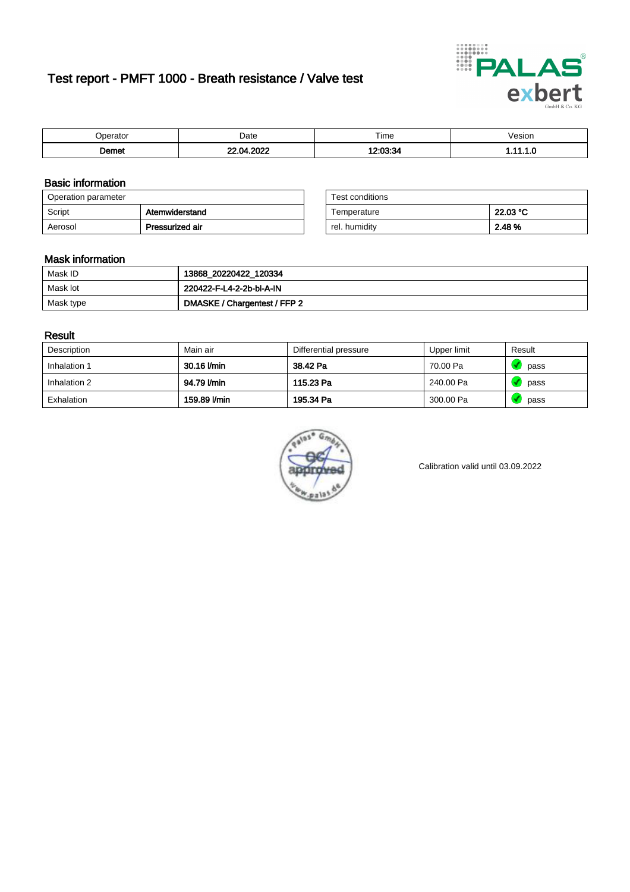# Test report - PMFT 1000 - Breath resistance / Valve test



| $-100000000$<br>71111 | Date | $- \cdot$<br>Time | esion/ |
|-----------------------|------|-------------------|--------|
| ിemet                 | റററ  | 0.00.0            | .      |

### Basic information

| Operation parameter |                 | Test conditions |          |
|---------------------|-----------------|-----------------|----------|
| Script              | Atemwiderstand  | Temperature     | 22.03 °C |
| Aerosol             | Pressurized air | rel. humidity   | 2.48 %   |

| Test conditions |          |
|-----------------|----------|
| Temperature     | 22.03 °C |
| rel. humidity   | 2.48%    |

### Mask information

| Mask ID   | 13868_20220422_120334        |
|-----------|------------------------------|
| Mask lot  | 220422-F-L4-2-2b-bl-A-IN     |
| Mask type | DMASKE / Chargentest / FFP 2 |

### Result

| Description  | Main air     | Differential pressure | Upper limit | Result |
|--------------|--------------|-----------------------|-------------|--------|
| Inhalation 1 | 30.16 l/min  | 38.42 Pa              | 70.00 Pa    | pass   |
| Inhalation 2 | 94.79 l/min  | 115.23 Pa             | 240.00 Pa   | pass   |
| Exhalation   | 159.89 l/min | 195.34 Pa             | 300.00 Pa   | pass   |



Calibration valid until 03.09.2022